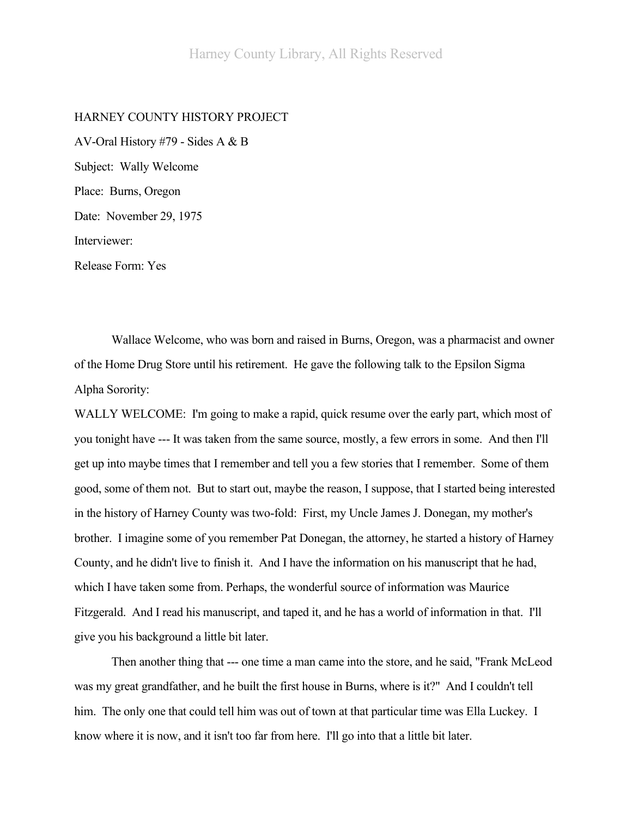## HARNEY COUNTY HISTORY PROJECT

AV-Oral History #79 - Sides A & B Subject: Wally Welcome Place: Burns, Oregon Date: November 29, 1975 Interviewer: Release Form: Yes

Wallace Welcome, who was born and raised in Burns, Oregon, was a pharmacist and owner of the Home Drug Store until his retirement. He gave the following talk to the Epsilon Sigma Alpha Sorority:

WALLY WELCOME: I'm going to make a rapid, quick resume over the early part, which most of you tonight have --- It was taken from the same source, mostly, a few errors in some. And then I'll get up into maybe times that I remember and tell you a few stories that I remember. Some of them good, some of them not. But to start out, maybe the reason, I suppose, that I started being interested in the history of Harney County was two-fold: First, my Uncle James J. Donegan, my mother's brother. I imagine some of you remember Pat Donegan, the attorney, he started a history of Harney County, and he didn't live to finish it. And I have the information on his manuscript that he had, which I have taken some from. Perhaps, the wonderful source of information was Maurice Fitzgerald. And I read his manuscript, and taped it, and he has a world of information in that. I'll give you his background a little bit later.

Then another thing that --- one time a man came into the store, and he said, "Frank McLeod was my great grandfather, and he built the first house in Burns, where is it?" And I couldn't tell him. The only one that could tell him was out of town at that particular time was Ella Luckey. I know where it is now, and it isn't too far from here. I'll go into that a little bit later.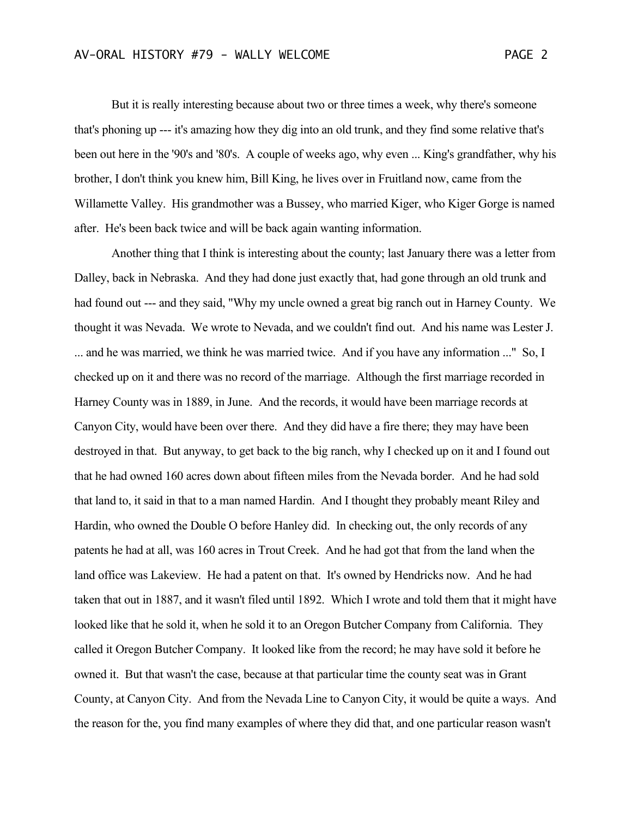But it is really interesting because about two or three times a week, why there's someone that's phoning up --- it's amazing how they dig into an old trunk, and they find some relative that's

been out here in the '90's and '80's. A couple of weeks ago, why even ... King's grandfather, why his brother, I don't think you knew him, Bill King, he lives over in Fruitland now, came from the Willamette Valley. His grandmother was a Bussey, who married Kiger, who Kiger Gorge is named after. He's been back twice and will be back again wanting information.

Another thing that I think is interesting about the county; last January there was a letter from Dalley, back in Nebraska. And they had done just exactly that, had gone through an old trunk and had found out --- and they said, "Why my uncle owned a great big ranch out in Harney County. We thought it was Nevada. We wrote to Nevada, and we couldn't find out. And his name was Lester J. ... and he was married, we think he was married twice. And if you have any information ..." So, I checked up on it and there was no record of the marriage. Although the first marriage recorded in Harney County was in 1889, in June. And the records, it would have been marriage records at Canyon City, would have been over there. And they did have a fire there; they may have been destroyed in that. But anyway, to get back to the big ranch, why I checked up on it and I found out that he had owned 160 acres down about fifteen miles from the Nevada border. And he had sold that land to, it said in that to a man named Hardin. And I thought they probably meant Riley and Hardin, who owned the Double O before Hanley did. In checking out, the only records of any patents he had at all, was 160 acres in Trout Creek. And he had got that from the land when the land office was Lakeview. He had a patent on that. It's owned by Hendricks now. And he had taken that out in 1887, and it wasn't filed until 1892. Which I wrote and told them that it might have looked like that he sold it, when he sold it to an Oregon Butcher Company from California. They called it Oregon Butcher Company. It looked like from the record; he may have sold it before he owned it. But that wasn't the case, because at that particular time the county seat was in Grant County, at Canyon City. And from the Nevada Line to Canyon City, it would be quite a ways. And the reason for the, you find many examples of where they did that, and one particular reason wasn't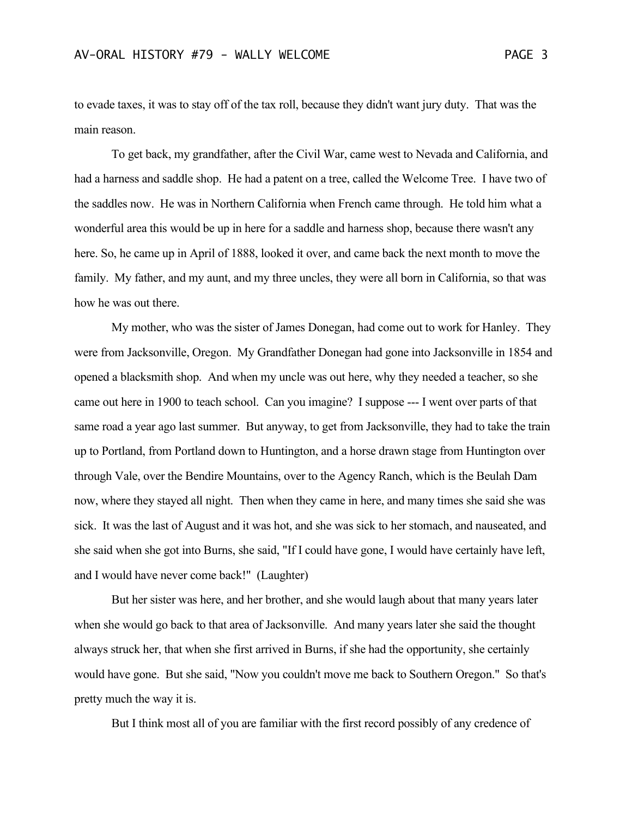to evade taxes, it was to stay off of the tax roll, because they didn't want jury duty. That was the main reason.

To get back, my grandfather, after the Civil War, came west to Nevada and California, and had a harness and saddle shop. He had a patent on a tree, called the Welcome Tree. I have two of the saddles now. He was in Northern California when French came through. He told him what a wonderful area this would be up in here for a saddle and harness shop, because there wasn't any here. So, he came up in April of 1888, looked it over, and came back the next month to move the family. My father, and my aunt, and my three uncles, they were all born in California, so that was how he was out there.

My mother, who was the sister of James Donegan, had come out to work for Hanley. They were from Jacksonville, Oregon. My Grandfather Donegan had gone into Jacksonville in 1854 and opened a blacksmith shop. And when my uncle was out here, why they needed a teacher, so she came out here in 1900 to teach school. Can you imagine? I suppose --- I went over parts of that same road a year ago last summer. But anyway, to get from Jacksonville, they had to take the train up to Portland, from Portland down to Huntington, and a horse drawn stage from Huntington over through Vale, over the Bendire Mountains, over to the Agency Ranch, which is the Beulah Dam now, where they stayed all night. Then when they came in here, and many times she said she was sick. It was the last of August and it was hot, and she was sick to her stomach, and nauseated, and she said when she got into Burns, she said, "If I could have gone, I would have certainly have left, and I would have never come back!" (Laughter)

But her sister was here, and her brother, and she would laugh about that many years later when she would go back to that area of Jacksonville. And many years later she said the thought always struck her, that when she first arrived in Burns, if she had the opportunity, she certainly would have gone. But she said, "Now you couldn't move me back to Southern Oregon." So that's pretty much the way it is.

But I think most all of you are familiar with the first record possibly of any credence of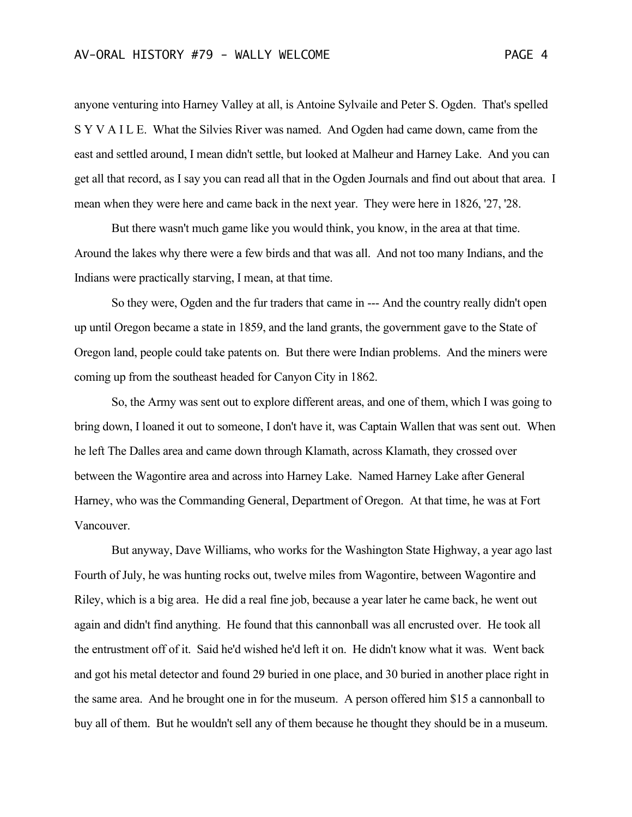anyone venturing into Harney Valley at all, is Antoine Sylvaile and Peter S. Ogden. That's spelled S Y V A I L E. What the Silvies River was named. And Ogden had came down, came from the east and settled around, I mean didn't settle, but looked at Malheur and Harney Lake. And you can get all that record, as I say you can read all that in the Ogden Journals and find out about that area. I mean when they were here and came back in the next year. They were here in 1826, '27, '28.

But there wasn't much game like you would think, you know, in the area at that time. Around the lakes why there were a few birds and that was all. And not too many Indians, and the Indians were practically starving, I mean, at that time.

So they were, Ogden and the fur traders that came in --- And the country really didn't open up until Oregon became a state in 1859, and the land grants, the government gave to the State of Oregon land, people could take patents on. But there were Indian problems. And the miners were coming up from the southeast headed for Canyon City in 1862.

So, the Army was sent out to explore different areas, and one of them, which I was going to bring down, I loaned it out to someone, I don't have it, was Captain Wallen that was sent out. When he left The Dalles area and came down through Klamath, across Klamath, they crossed over between the Wagontire area and across into Harney Lake. Named Harney Lake after General Harney, who was the Commanding General, Department of Oregon. At that time, he was at Fort Vancouver.

But anyway, Dave Williams, who works for the Washington State Highway, a year ago last Fourth of July, he was hunting rocks out, twelve miles from Wagontire, between Wagontire and Riley, which is a big area. He did a real fine job, because a year later he came back, he went out again and didn't find anything. He found that this cannonball was all encrusted over. He took all the entrustment off of it. Said he'd wished he'd left it on. He didn't know what it was. Went back and got his metal detector and found 29 buried in one place, and 30 buried in another place right in the same area. And he brought one in for the museum. A person offered him \$15 a cannonball to buy all of them. But he wouldn't sell any of them because he thought they should be in a museum.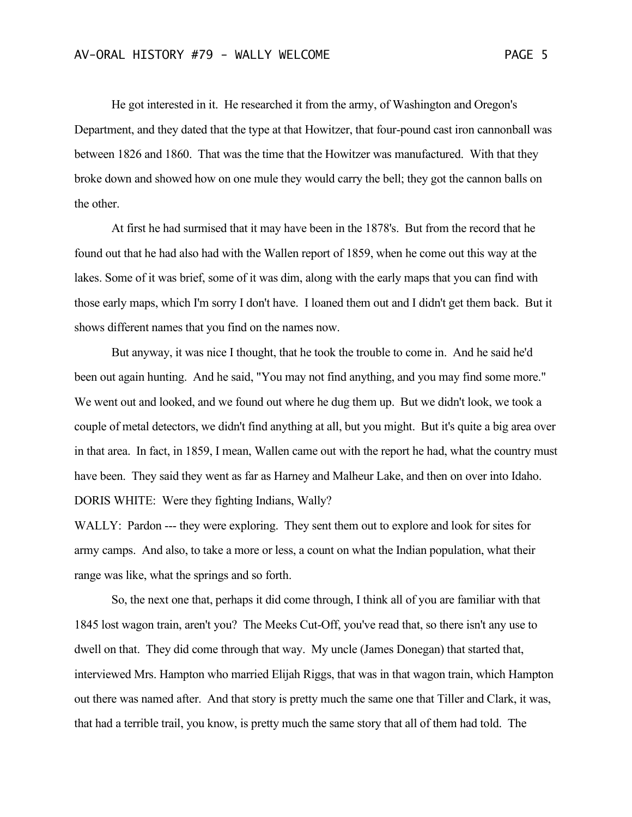He got interested in it. He researched it from the army, of Washington and Oregon's Department, and they dated that the type at that Howitzer, that four-pound cast iron cannonball was between 1826 and 1860. That was the time that the Howitzer was manufactured. With that they broke down and showed how on one mule they would carry the bell; they got the cannon balls on the other.

At first he had surmised that it may have been in the 1878's. But from the record that he found out that he had also had with the Wallen report of 1859, when he come out this way at the lakes. Some of it was brief, some of it was dim, along with the early maps that you can find with those early maps, which I'm sorry I don't have. I loaned them out and I didn't get them back. But it shows different names that you find on the names now.

But anyway, it was nice I thought, that he took the trouble to come in. And he said he'd been out again hunting. And he said, "You may not find anything, and you may find some more." We went out and looked, and we found out where he dug them up. But we didn't look, we took a couple of metal detectors, we didn't find anything at all, but you might. But it's quite a big area over in that area. In fact, in 1859, I mean, Wallen came out with the report he had, what the country must have been. They said they went as far as Harney and Malheur Lake, and then on over into Idaho. DORIS WHITE: Were they fighting Indians, Wally?

WALLY: Pardon --- they were exploring. They sent them out to explore and look for sites for army camps. And also, to take a more or less, a count on what the Indian population, what their range was like, what the springs and so forth.

So, the next one that, perhaps it did come through, I think all of you are familiar with that 1845 lost wagon train, aren't you? The Meeks Cut-Off, you've read that, so there isn't any use to dwell on that. They did come through that way. My uncle (James Donegan) that started that, interviewed Mrs. Hampton who married Elijah Riggs, that was in that wagon train, which Hampton out there was named after. And that story is pretty much the same one that Tiller and Clark, it was, that had a terrible trail, you know, is pretty much the same story that all of them had told. The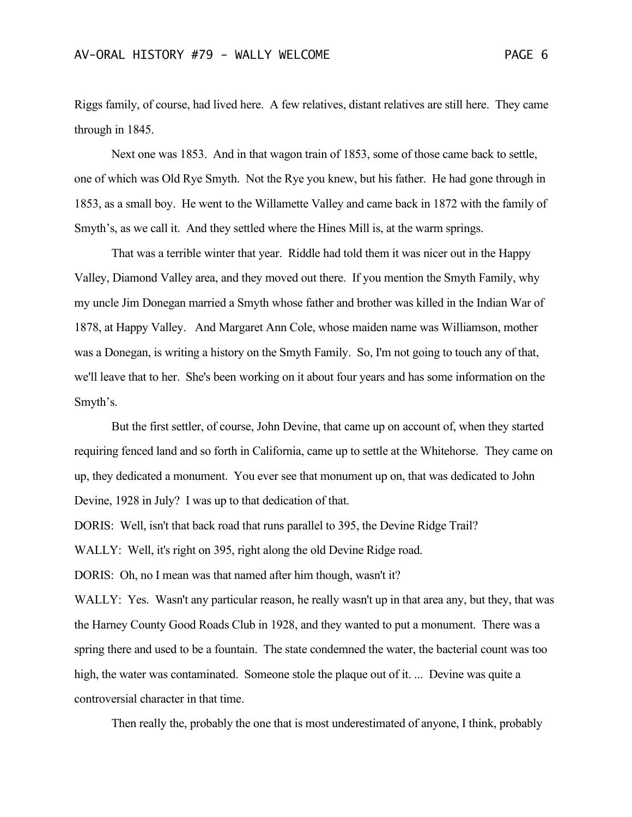Riggs family, of course, had lived here. A few relatives, distant relatives are still here. They came through in 1845.

Next one was 1853. And in that wagon train of 1853, some of those came back to settle, one of which was Old Rye Smyth. Not the Rye you knew, but his father. He had gone through in 1853, as a small boy. He went to the Willamette Valley and came back in 1872 with the family of Smyth's, as we call it. And they settled where the Hines Mill is, at the warm springs.

That was a terrible winter that year. Riddle had told them it was nicer out in the Happy Valley, Diamond Valley area, and they moved out there. If you mention the Smyth Family, why my uncle Jim Donegan married a Smyth whose father and brother was killed in the Indian War of 1878, at Happy Valley. And Margaret Ann Cole, whose maiden name was Williamson, mother was a Donegan, is writing a history on the Smyth Family. So, I'm not going to touch any of that, we'll leave that to her. She's been working on it about four years and has some information on the Smyth's.

But the first settler, of course, John Devine, that came up on account of, when they started requiring fenced land and so forth in California, came up to settle at the Whitehorse. They came on up, they dedicated a monument. You ever see that monument up on, that was dedicated to John Devine, 1928 in July? I was up to that dedication of that.

DORIS: Well, isn't that back road that runs parallel to 395, the Devine Ridge Trail?

WALLY: Well, it's right on 395, right along the old Devine Ridge road.

DORIS: Oh, no I mean was that named after him though, wasn't it?

WALLY: Yes. Wasn't any particular reason, he really wasn't up in that area any, but they, that was the Harney County Good Roads Club in 1928, and they wanted to put a monument. There was a spring there and used to be a fountain. The state condemned the water, the bacterial count was too high, the water was contaminated. Someone stole the plaque out of it. ... Devine was quite a controversial character in that time.

Then really the, probably the one that is most underestimated of anyone, I think, probably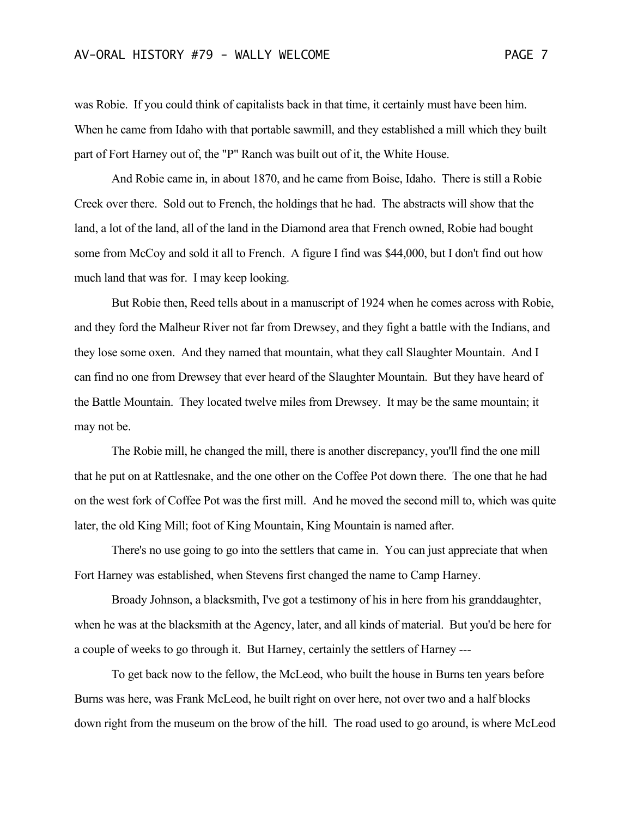was Robie. If you could think of capitalists back in that time, it certainly must have been him. When he came from Idaho with that portable sawmill, and they established a mill which they built part of Fort Harney out of, the "P" Ranch was built out of it, the White House.

And Robie came in, in about 1870, and he came from Boise, Idaho. There is still a Robie Creek over there. Sold out to French, the holdings that he had. The abstracts will show that the land, a lot of the land, all of the land in the Diamond area that French owned, Robie had bought some from McCoy and sold it all to French. A figure I find was \$44,000, but I don't find out how much land that was for. I may keep looking.

But Robie then, Reed tells about in a manuscript of 1924 when he comes across with Robie, and they ford the Malheur River not far from Drewsey, and they fight a battle with the Indians, and they lose some oxen. And they named that mountain, what they call Slaughter Mountain. And I can find no one from Drewsey that ever heard of the Slaughter Mountain. But they have heard of the Battle Mountain. They located twelve miles from Drewsey. It may be the same mountain; it may not be.

The Robie mill, he changed the mill, there is another discrepancy, you'll find the one mill that he put on at Rattlesnake, and the one other on the Coffee Pot down there. The one that he had on the west fork of Coffee Pot was the first mill. And he moved the second mill to, which was quite later, the old King Mill; foot of King Mountain, King Mountain is named after.

There's no use going to go into the settlers that came in. You can just appreciate that when Fort Harney was established, when Stevens first changed the name to Camp Harney.

Broady Johnson, a blacksmith, I've got a testimony of his in here from his granddaughter, when he was at the blacksmith at the Agency, later, and all kinds of material. But you'd be here for a couple of weeks to go through it. But Harney, certainly the settlers of Harney ---

To get back now to the fellow, the McLeod, who built the house in Burns ten years before Burns was here, was Frank McLeod, he built right on over here, not over two and a half blocks down right from the museum on the brow of the hill. The road used to go around, is where McLeod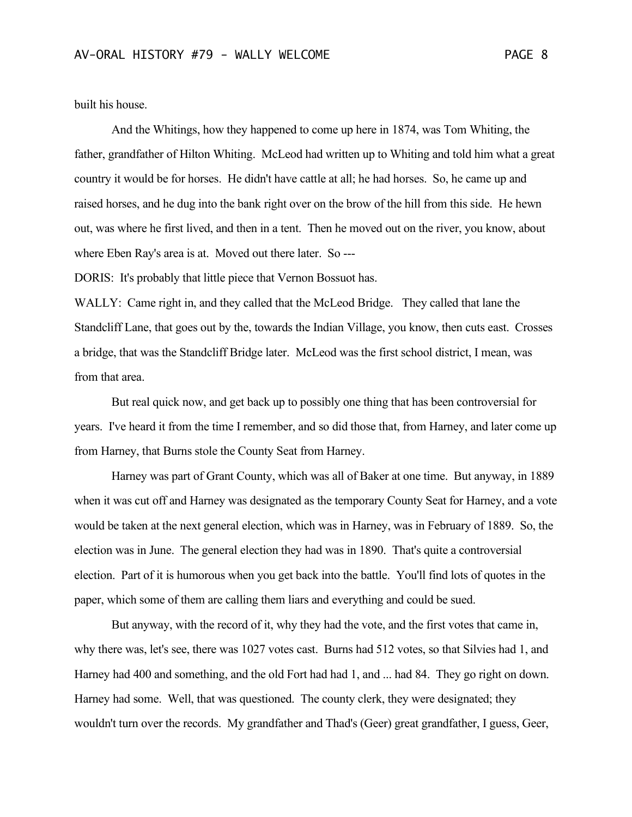built his house.

And the Whitings, how they happened to come up here in 1874, was Tom Whiting, the father, grandfather of Hilton Whiting. McLeod had written up to Whiting and told him what a great country it would be for horses. He didn't have cattle at all; he had horses. So, he came up and raised horses, and he dug into the bank right over on the brow of the hill from this side. He hewn out, was where he first lived, and then in a tent. Then he moved out on the river, you know, about where Eben Ray's area is at. Moved out there later. So ---

DORIS: It's probably that little piece that Vernon Bossuot has.

WALLY: Came right in, and they called that the McLeod Bridge. They called that lane the Standcliff Lane, that goes out by the, towards the Indian Village, you know, then cuts east. Crosses a bridge, that was the Standcliff Bridge later. McLeod was the first school district, I mean, was from that area.

But real quick now, and get back up to possibly one thing that has been controversial for years. I've heard it from the time I remember, and so did those that, from Harney, and later come up from Harney, that Burns stole the County Seat from Harney.

Harney was part of Grant County, which was all of Baker at one time. But anyway, in 1889 when it was cut off and Harney was designated as the temporary County Seat for Harney, and a vote would be taken at the next general election, which was in Harney, was in February of 1889. So, the election was in June. The general election they had was in 1890. That's quite a controversial election. Part of it is humorous when you get back into the battle. You'll find lots of quotes in the paper, which some of them are calling them liars and everything and could be sued.

But anyway, with the record of it, why they had the vote, and the first votes that came in, why there was, let's see, there was 1027 votes cast. Burns had 512 votes, so that Silvies had 1, and Harney had 400 and something, and the old Fort had had 1, and ... had 84. They go right on down. Harney had some. Well, that was questioned. The county clerk, they were designated; they wouldn't turn over the records. My grandfather and Thad's (Geer) great grandfather, I guess, Geer,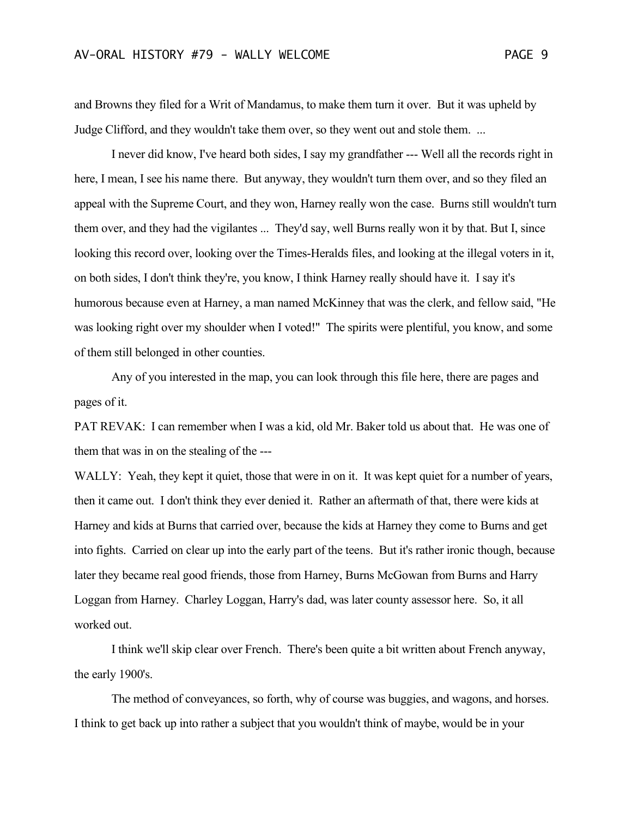and Browns they filed for a Writ of Mandamus, to make them turn it over. But it was upheld by Judge Clifford, and they wouldn't take them over, so they went out and stole them. ...

I never did know, I've heard both sides, I say my grandfather --- Well all the records right in here, I mean, I see his name there. But anyway, they wouldn't turn them over, and so they filed an appeal with the Supreme Court, and they won, Harney really won the case. Burns still wouldn't turn them over, and they had the vigilantes ... They'd say, well Burns really won it by that. But I, since looking this record over, looking over the Times-Heralds files, and looking at the illegal voters in it, on both sides, I don't think they're, you know, I think Harney really should have it. I say it's humorous because even at Harney, a man named McKinney that was the clerk, and fellow said, "He was looking right over my shoulder when I voted!" The spirits were plentiful, you know, and some of them still belonged in other counties.

Any of you interested in the map, you can look through this file here, there are pages and pages of it.

PAT REVAK: I can remember when I was a kid, old Mr. Baker told us about that. He was one of them that was in on the stealing of the ---

WALLY: Yeah, they kept it quiet, those that were in on it. It was kept quiet for a number of years, then it came out. I don't think they ever denied it. Rather an aftermath of that, there were kids at Harney and kids at Burns that carried over, because the kids at Harney they come to Burns and get into fights. Carried on clear up into the early part of the teens. But it's rather ironic though, because later they became real good friends, those from Harney, Burns McGowan from Burns and Harry Loggan from Harney. Charley Loggan, Harry's dad, was later county assessor here. So, it all worked out.

I think we'll skip clear over French. There's been quite a bit written about French anyway, the early 1900's.

The method of conveyances, so forth, why of course was buggies, and wagons, and horses. I think to get back up into rather a subject that you wouldn't think of maybe, would be in your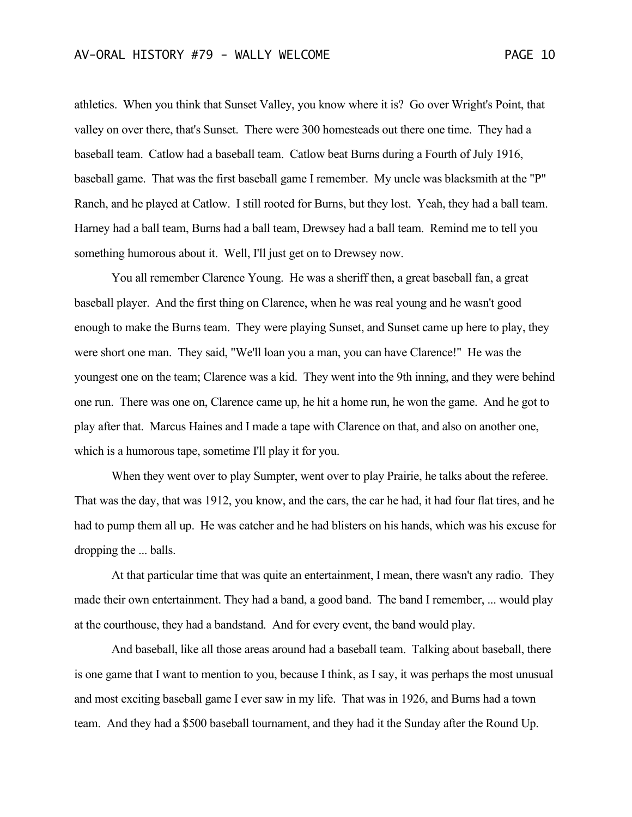athletics. When you think that Sunset Valley, you know where it is? Go over Wright's Point, that valley on over there, that's Sunset. There were 300 homesteads out there one time. They had a baseball team. Catlow had a baseball team. Catlow beat Burns during a Fourth of July 1916, baseball game. That was the first baseball game I remember. My uncle was blacksmith at the "P" Ranch, and he played at Catlow. I still rooted for Burns, but they lost. Yeah, they had a ball team. Harney had a ball team, Burns had a ball team, Drewsey had a ball team. Remind me to tell you something humorous about it. Well, I'll just get on to Drewsey now.

You all remember Clarence Young. He was a sheriff then, a great baseball fan, a great baseball player. And the first thing on Clarence, when he was real young and he wasn't good enough to make the Burns team. They were playing Sunset, and Sunset came up here to play, they were short one man. They said, "We'll loan you a man, you can have Clarence!" He was the youngest one on the team; Clarence was a kid. They went into the 9th inning, and they were behind one run. There was one on, Clarence came up, he hit a home run, he won the game. And he got to play after that. Marcus Haines and I made a tape with Clarence on that, and also on another one, which is a humorous tape, sometime I'll play it for you.

When they went over to play Sumpter, went over to play Prairie, he talks about the referee. That was the day, that was 1912, you know, and the cars, the car he had, it had four flat tires, and he had to pump them all up. He was catcher and he had blisters on his hands, which was his excuse for dropping the ... balls.

At that particular time that was quite an entertainment, I mean, there wasn't any radio. They made their own entertainment. They had a band, a good band. The band I remember, ... would play at the courthouse, they had a bandstand. And for every event, the band would play.

And baseball, like all those areas around had a baseball team. Talking about baseball, there is one game that I want to mention to you, because I think, as I say, it was perhaps the most unusual and most exciting baseball game I ever saw in my life. That was in 1926, and Burns had a town team. And they had a \$500 baseball tournament, and they had it the Sunday after the Round Up.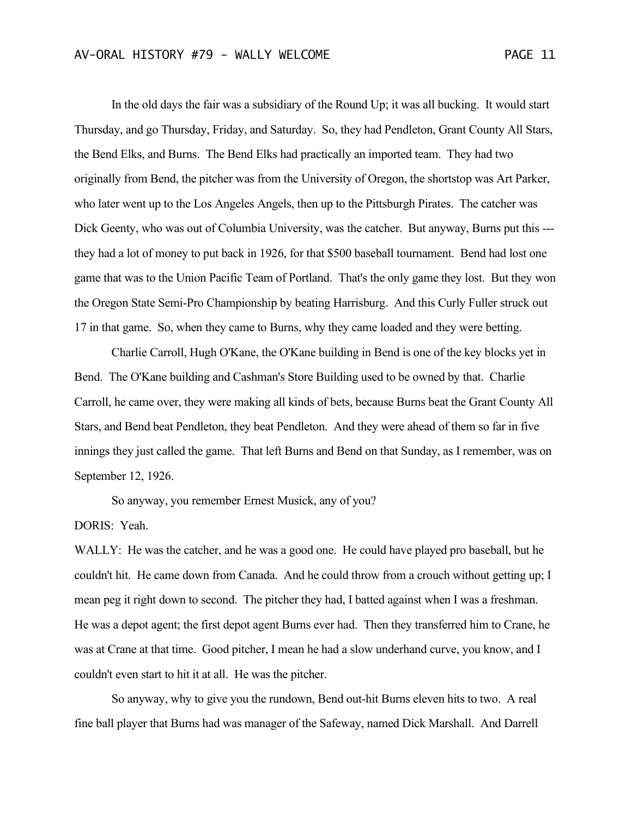In the old days the fair was a subsidiary of the Round Up; it was all bucking. It would start Thursday, and go Thursday, Friday, and Saturday. So, they had Pendleton, Grant County All Stars, the Bend Elks, and Burns. The Bend Elks had practically an imported team. They had two originally from Bend, the pitcher was from the University of Oregon, the shortstop was Art Parker, who later went up to the Los Angeles Angels, then up to the Pittsburgh Pirates. The catcher was Dick Geenty, who was out of Columbia University, was the catcher. But anyway, Burns put this -- they had a lot of money to put back in 1926, for that \$500 baseball tournament. Bend had lost one game that was to the Union Pacific Team of Portland. That's the only game they lost. But they won the Oregon State Semi-Pro Championship by beating Harrisburg. And this Curly Fuller struck out 17 in that game. So, when they came to Burns, why they came loaded and they were betting.

Charlie Carroll, Hugh O'Kane, the O'Kane building in Bend is one of the key blocks yet in Bend. The O'Kane building and Cashman's Store Building used to be owned by that. Charlie Carroll, he came over, they were making all kinds of bets, because Burns beat the Grant County All Stars, and Bend beat Pendleton, they beat Pendleton. And they were ahead of them so far in five innings they just called the game. That left Burns and Bend on that Sunday, as I remember, was on September 12, 1926.

So anyway, you remember Ernest Musick, any of you?

## DORIS: Yeah.

WALLY: He was the catcher, and he was a good one. He could have played pro baseball, but he couldn't hit. He came down from Canada. And he could throw from a crouch without getting up; I mean peg it right down to second. The pitcher they had, I batted against when I was a freshman. He was a depot agent; the first depot agent Burns ever had. Then they transferred him to Crane, he was at Crane at that time. Good pitcher, I mean he had a slow underhand curve, you know, and I couldn't even start to hit it at all. He was the pitcher.

So anyway, why to give you the rundown, Bend out-hit Burns eleven hits to two. A real fine ball player that Burns had was manager of the Safeway, named Dick Marshall. And Darrell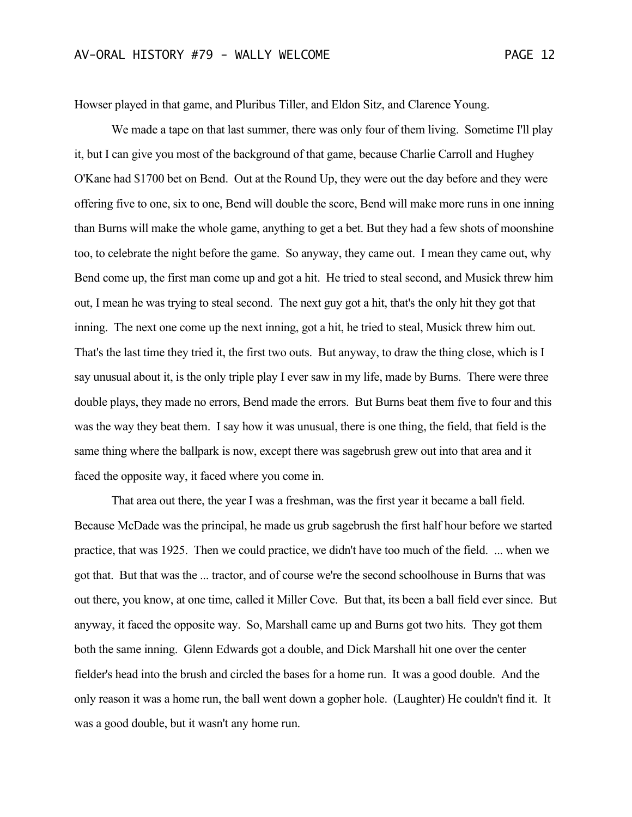Howser played in that game, and Pluribus Tiller, and Eldon Sitz, and Clarence Young.

We made a tape on that last summer, there was only four of them living. Sometime I'll play it, but I can give you most of the background of that game, because Charlie Carroll and Hughey O'Kane had \$1700 bet on Bend. Out at the Round Up, they were out the day before and they were offering five to one, six to one, Bend will double the score, Bend will make more runs in one inning than Burns will make the whole game, anything to get a bet. But they had a few shots of moonshine too, to celebrate the night before the game. So anyway, they came out. I mean they came out, why Bend come up, the first man come up and got a hit. He tried to steal second, and Musick threw him out, I mean he was trying to steal second. The next guy got a hit, that's the only hit they got that inning. The next one come up the next inning, got a hit, he tried to steal, Musick threw him out. That's the last time they tried it, the first two outs. But anyway, to draw the thing close, which is I say unusual about it, is the only triple play I ever saw in my life, made by Burns. There were three double plays, they made no errors, Bend made the errors. But Burns beat them five to four and this was the way they beat them. I say how it was unusual, there is one thing, the field, that field is the same thing where the ballpark is now, except there was sagebrush grew out into that area and it faced the opposite way, it faced where you come in.

That area out there, the year I was a freshman, was the first year it became a ball field. Because McDade was the principal, he made us grub sagebrush the first half hour before we started practice, that was 1925. Then we could practice, we didn't have too much of the field. ... when we got that. But that was the ... tractor, and of course we're the second schoolhouse in Burns that was out there, you know, at one time, called it Miller Cove. But that, its been a ball field ever since. But anyway, it faced the opposite way. So, Marshall came up and Burns got two hits. They got them both the same inning. Glenn Edwards got a double, and Dick Marshall hit one over the center fielder's head into the brush and circled the bases for a home run. It was a good double. And the only reason it was a home run, the ball went down a gopher hole. (Laughter) He couldn't find it. It was a good double, but it wasn't any home run.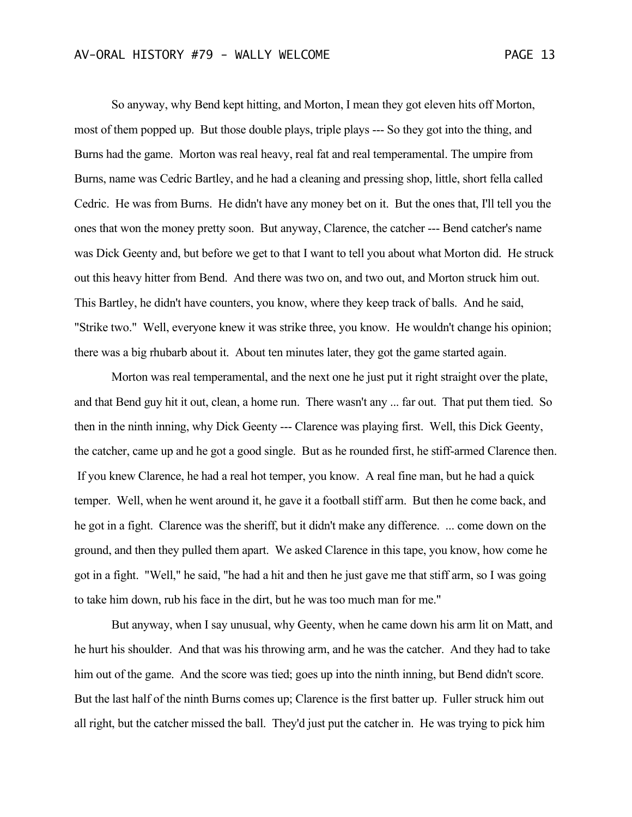So anyway, why Bend kept hitting, and Morton, I mean they got eleven hits off Morton, most of them popped up. But those double plays, triple plays --- So they got into the thing, and Burns had the game. Morton was real heavy, real fat and real temperamental. The umpire from Burns, name was Cedric Bartley, and he had a cleaning and pressing shop, little, short fella called Cedric. He was from Burns. He didn't have any money bet on it. But the ones that, I'll tell you the ones that won the money pretty soon. But anyway, Clarence, the catcher --- Bend catcher's name was Dick Geenty and, but before we get to that I want to tell you about what Morton did. He struck out this heavy hitter from Bend. And there was two on, and two out, and Morton struck him out. This Bartley, he didn't have counters, you know, where they keep track of balls. And he said, "Strike two." Well, everyone knew it was strike three, you know. He wouldn't change his opinion; there was a big rhubarb about it. About ten minutes later, they got the game started again.

Morton was real temperamental, and the next one he just put it right straight over the plate, and that Bend guy hit it out, clean, a home run. There wasn't any ... far out. That put them tied. So then in the ninth inning, why Dick Geenty --- Clarence was playing first. Well, this Dick Geenty, the catcher, came up and he got a good single. But as he rounded first, he stiff-armed Clarence then. If you knew Clarence, he had a real hot temper, you know. A real fine man, but he had a quick temper. Well, when he went around it, he gave it a football stiff arm. But then he come back, and he got in a fight. Clarence was the sheriff, but it didn't make any difference. ... come down on the ground, and then they pulled them apart. We asked Clarence in this tape, you know, how come he got in a fight. "Well," he said, "he had a hit and then he just gave me that stiff arm, so I was going to take him down, rub his face in the dirt, but he was too much man for me."

But anyway, when I say unusual, why Geenty, when he came down his arm lit on Matt, and he hurt his shoulder. And that was his throwing arm, and he was the catcher. And they had to take him out of the game. And the score was tied; goes up into the ninth inning, but Bend didn't score. But the last half of the ninth Burns comes up; Clarence is the first batter up. Fuller struck him out all right, but the catcher missed the ball. They'd just put the catcher in. He was trying to pick him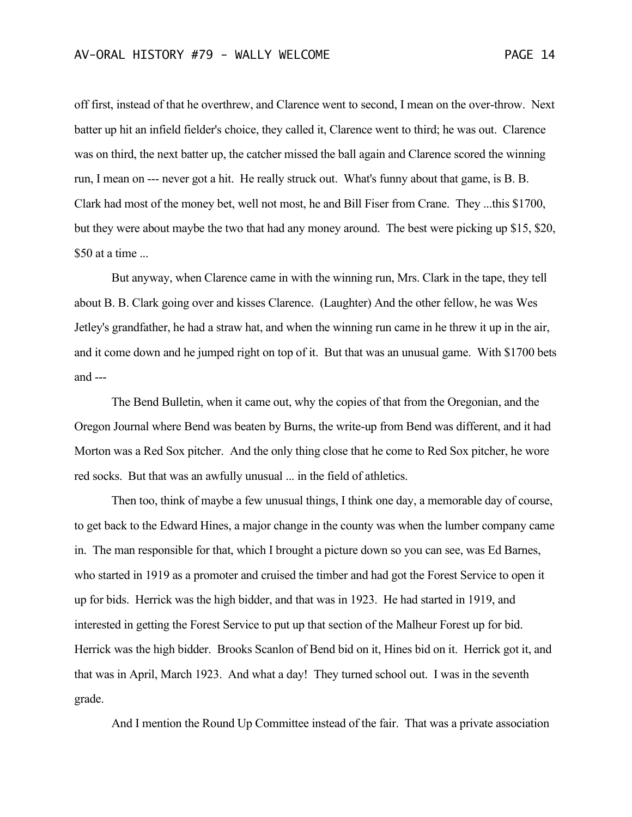off first, instead of that he overthrew, and Clarence went to second, I mean on the over-throw. Next batter up hit an infield fielder's choice, they called it, Clarence went to third; he was out. Clarence was on third, the next batter up, the catcher missed the ball again and Clarence scored the winning run, I mean on --- never got a hit. He really struck out. What's funny about that game, is B. B. Clark had most of the money bet, well not most, he and Bill Fiser from Crane. They ...this \$1700, but they were about maybe the two that had any money around. The best were picking up \$15, \$20, \$50 at a time ...

But anyway, when Clarence came in with the winning run, Mrs. Clark in the tape, they tell about B. B. Clark going over and kisses Clarence. (Laughter) And the other fellow, he was Wes Jetley's grandfather, he had a straw hat, and when the winning run came in he threw it up in the air, and it come down and he jumped right on top of it. But that was an unusual game. With \$1700 bets and ---

The Bend Bulletin, when it came out, why the copies of that from the Oregonian, and the Oregon Journal where Bend was beaten by Burns, the write-up from Bend was different, and it had Morton was a Red Sox pitcher. And the only thing close that he come to Red Sox pitcher, he wore red socks. But that was an awfully unusual ... in the field of athletics.

Then too, think of maybe a few unusual things, I think one day, a memorable day of course, to get back to the Edward Hines, a major change in the county was when the lumber company came in. The man responsible for that, which I brought a picture down so you can see, was Ed Barnes, who started in 1919 as a promoter and cruised the timber and had got the Forest Service to open it up for bids. Herrick was the high bidder, and that was in 1923. He had started in 1919, and interested in getting the Forest Service to put up that section of the Malheur Forest up for bid. Herrick was the high bidder. Brooks Scanlon of Bend bid on it, Hines bid on it. Herrick got it, and that was in April, March 1923. And what a day! They turned school out. I was in the seventh grade.

And I mention the Round Up Committee instead of the fair. That was a private association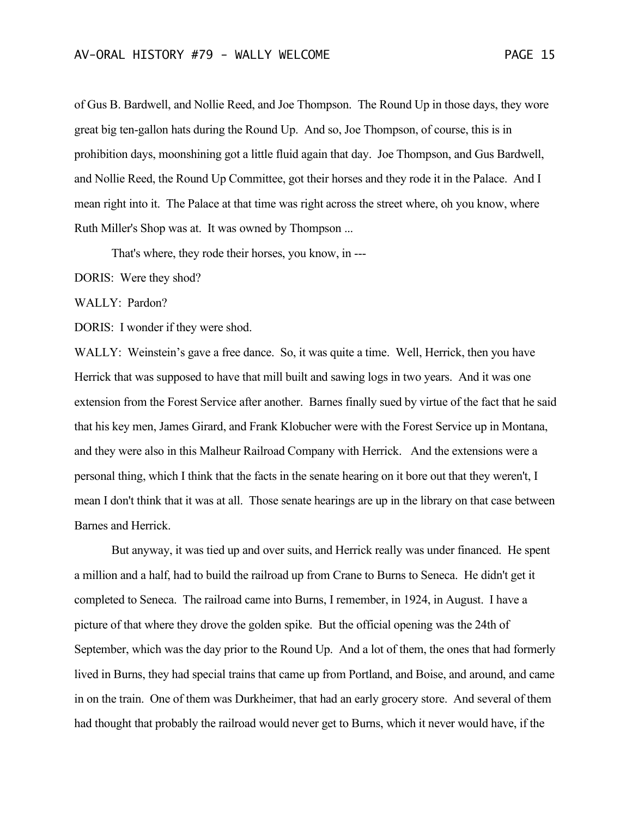of Gus B. Bardwell, and Nollie Reed, and Joe Thompson. The Round Up in those days, they wore great big ten-gallon hats during the Round Up. And so, Joe Thompson, of course, this is in prohibition days, moonshining got a little fluid again that day. Joe Thompson, and Gus Bardwell, and Nollie Reed, the Round Up Committee, got their horses and they rode it in the Palace. And I mean right into it. The Palace at that time was right across the street where, oh you know, where Ruth Miller's Shop was at. It was owned by Thompson ...

That's where, they rode their horses, you know, in ---

DORIS: Were they shod?

WALLY: Pardon?

DORIS: I wonder if they were shod.

WALLY: Weinstein's gave a free dance. So, it was quite a time. Well, Herrick, then you have Herrick that was supposed to have that mill built and sawing logs in two years. And it was one extension from the Forest Service after another. Barnes finally sued by virtue of the fact that he said that his key men, James Girard, and Frank Klobucher were with the Forest Service up in Montana, and they were also in this Malheur Railroad Company with Herrick. And the extensions were a personal thing, which I think that the facts in the senate hearing on it bore out that they weren't, I mean I don't think that it was at all. Those senate hearings are up in the library on that case between Barnes and Herrick.

But anyway, it was tied up and over suits, and Herrick really was under financed. He spent a million and a half, had to build the railroad up from Crane to Burns to Seneca. He didn't get it completed to Seneca. The railroad came into Burns, I remember, in 1924, in August. I have a picture of that where they drove the golden spike. But the official opening was the 24th of September, which was the day prior to the Round Up. And a lot of them, the ones that had formerly lived in Burns, they had special trains that came up from Portland, and Boise, and around, and came in on the train. One of them was Durkheimer, that had an early grocery store. And several of them had thought that probably the railroad would never get to Burns, which it never would have, if the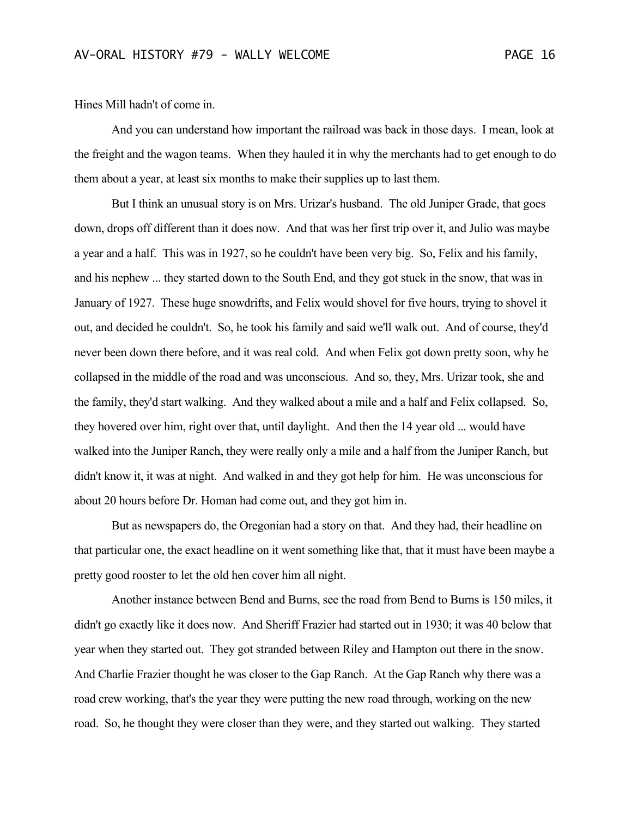Hines Mill hadn't of come in.

And you can understand how important the railroad was back in those days. I mean, look at the freight and the wagon teams. When they hauled it in why the merchants had to get enough to do them about a year, at least six months to make their supplies up to last them.

But I think an unusual story is on Mrs. Urizar's husband. The old Juniper Grade, that goes down, drops off different than it does now. And that was her first trip over it, and Julio was maybe a year and a half. This was in 1927, so he couldn't have been very big. So, Felix and his family, and his nephew ... they started down to the South End, and they got stuck in the snow, that was in January of 1927. These huge snowdrifts, and Felix would shovel for five hours, trying to shovel it out, and decided he couldn't. So, he took his family and said we'll walk out. And of course, they'd never been down there before, and it was real cold. And when Felix got down pretty soon, why he collapsed in the middle of the road and was unconscious. And so, they, Mrs. Urizar took, she and the family, they'd start walking. And they walked about a mile and a half and Felix collapsed. So, they hovered over him, right over that, until daylight. And then the 14 year old ... would have walked into the Juniper Ranch, they were really only a mile and a half from the Juniper Ranch, but didn't know it, it was at night. And walked in and they got help for him. He was unconscious for about 20 hours before Dr. Homan had come out, and they got him in.

But as newspapers do, the Oregonian had a story on that. And they had, their headline on that particular one, the exact headline on it went something like that, that it must have been maybe a pretty good rooster to let the old hen cover him all night.

Another instance between Bend and Burns, see the road from Bend to Burns is 150 miles, it didn't go exactly like it does now. And Sheriff Frazier had started out in 1930; it was 40 below that year when they started out. They got stranded between Riley and Hampton out there in the snow. And Charlie Frazier thought he was closer to the Gap Ranch. At the Gap Ranch why there was a road crew working, that's the year they were putting the new road through, working on the new road. So, he thought they were closer than they were, and they started out walking. They started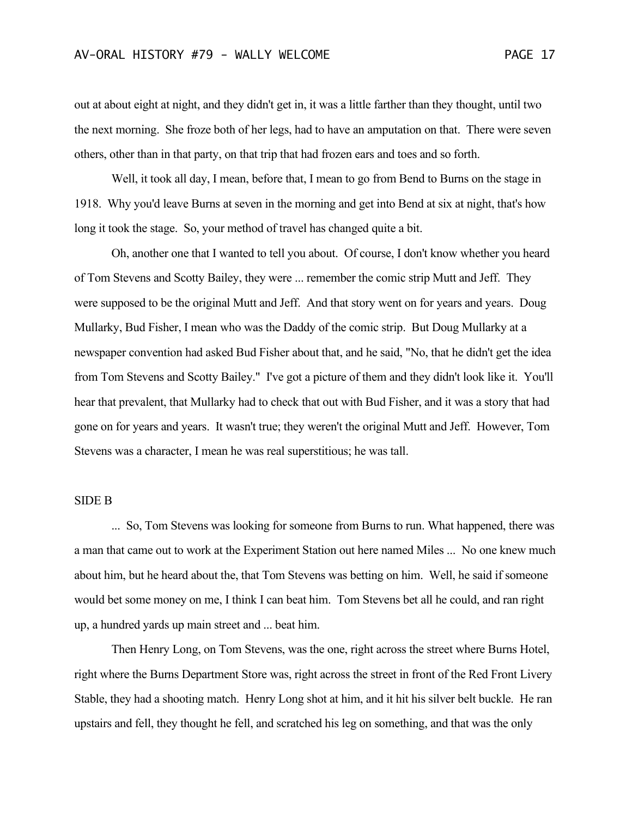out at about eight at night, and they didn't get in, it was a little farther than they thought, until two the next morning. She froze both of her legs, had to have an amputation on that. There were seven others, other than in that party, on that trip that had frozen ears and toes and so forth.

Well, it took all day, I mean, before that, I mean to go from Bend to Burns on the stage in 1918. Why you'd leave Burns at seven in the morning and get into Bend at six at night, that's how long it took the stage. So, your method of travel has changed quite a bit.

Oh, another one that I wanted to tell you about. Of course, I don't know whether you heard of Tom Stevens and Scotty Bailey, they were ... remember the comic strip Mutt and Jeff. They were supposed to be the original Mutt and Jeff. And that story went on for years and years. Doug Mullarky, Bud Fisher, I mean who was the Daddy of the comic strip. But Doug Mullarky at a newspaper convention had asked Bud Fisher about that, and he said, "No, that he didn't get the idea from Tom Stevens and Scotty Bailey." I've got a picture of them and they didn't look like it. You'll hear that prevalent, that Mullarky had to check that out with Bud Fisher, and it was a story that had gone on for years and years. It wasn't true; they weren't the original Mutt and Jeff. However, Tom Stevens was a character, I mean he was real superstitious; he was tall.

## SIDE B

... So, Tom Stevens was looking for someone from Burns to run. What happened, there was a man that came out to work at the Experiment Station out here named Miles ... No one knew much about him, but he heard about the, that Tom Stevens was betting on him. Well, he said if someone would bet some money on me, I think I can beat him. Tom Stevens bet all he could, and ran right up, a hundred yards up main street and ... beat him.

Then Henry Long, on Tom Stevens, was the one, right across the street where Burns Hotel, right where the Burns Department Store was, right across the street in front of the Red Front Livery Stable, they had a shooting match. Henry Long shot at him, and it hit his silver belt buckle. He ran upstairs and fell, they thought he fell, and scratched his leg on something, and that was the only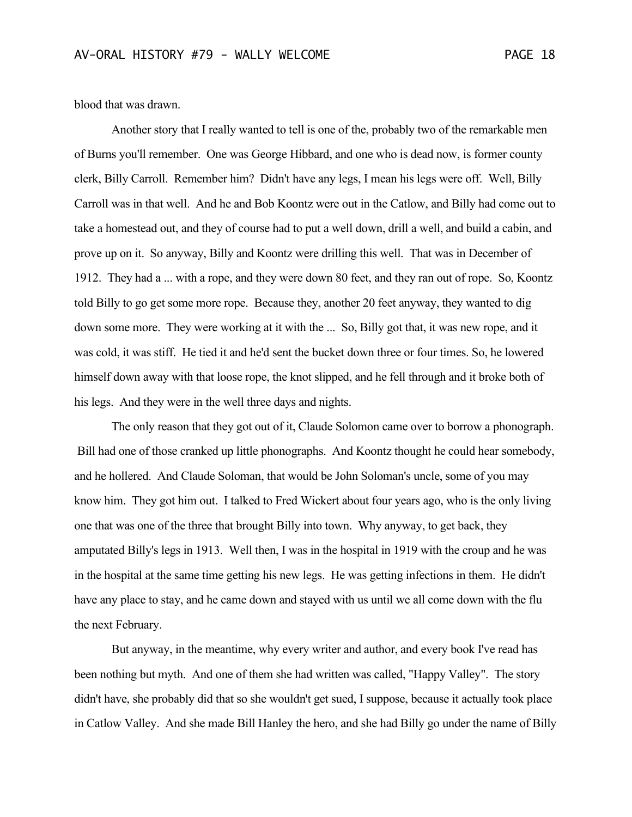blood that was drawn.

Another story that I really wanted to tell is one of the, probably two of the remarkable men of Burns you'll remember. One was George Hibbard, and one who is dead now, is former county clerk, Billy Carroll. Remember him? Didn't have any legs, I mean his legs were off. Well, Billy Carroll was in that well. And he and Bob Koontz were out in the Catlow, and Billy had come out to take a homestead out, and they of course had to put a well down, drill a well, and build a cabin, and prove up on it. So anyway, Billy and Koontz were drilling this well. That was in December of 1912. They had a ... with a rope, and they were down 80 feet, and they ran out of rope. So, Koontz told Billy to go get some more rope. Because they, another 20 feet anyway, they wanted to dig down some more. They were working at it with the ... So, Billy got that, it was new rope, and it was cold, it was stiff. He tied it and he'd sent the bucket down three or four times. So, he lowered himself down away with that loose rope, the knot slipped, and he fell through and it broke both of his legs. And they were in the well three days and nights.

The only reason that they got out of it, Claude Solomon came over to borrow a phonograph. Bill had one of those cranked up little phonographs. And Koontz thought he could hear somebody, and he hollered. And Claude Soloman, that would be John Soloman's uncle, some of you may know him. They got him out. I talked to Fred Wickert about four years ago, who is the only living one that was one of the three that brought Billy into town. Why anyway, to get back, they amputated Billy's legs in 1913. Well then, I was in the hospital in 1919 with the croup and he was in the hospital at the same time getting his new legs. He was getting infections in them. He didn't have any place to stay, and he came down and stayed with us until we all come down with the flu the next February.

But anyway, in the meantime, why every writer and author, and every book I've read has been nothing but myth. And one of them she had written was called, "Happy Valley". The story didn't have, she probably did that so she wouldn't get sued, I suppose, because it actually took place in Catlow Valley. And she made Bill Hanley the hero, and she had Billy go under the name of Billy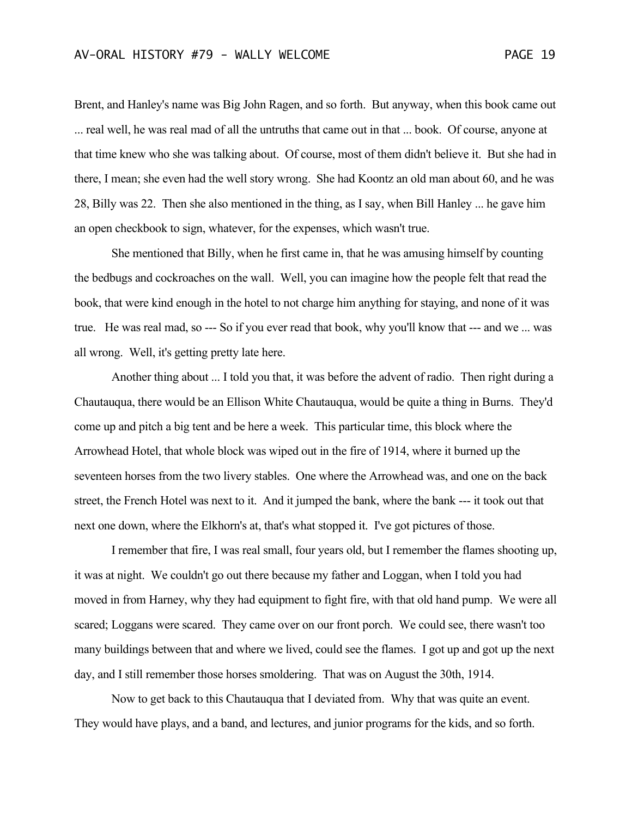Brent, and Hanley's name was Big John Ragen, and so forth. But anyway, when this book came out ... real well, he was real mad of all the untruths that came out in that ... book. Of course, anyone at that time knew who she was talking about. Of course, most of them didn't believe it. But she had in there, I mean; she even had the well story wrong. She had Koontz an old man about 60, and he was 28, Billy was 22. Then she also mentioned in the thing, as I say, when Bill Hanley ... he gave him an open checkbook to sign, whatever, for the expenses, which wasn't true.

She mentioned that Billy, when he first came in, that he was amusing himself by counting the bedbugs and cockroaches on the wall. Well, you can imagine how the people felt that read the book, that were kind enough in the hotel to not charge him anything for staying, and none of it was true. He was real mad, so --- So if you ever read that book, why you'll know that --- and we ... was all wrong. Well, it's getting pretty late here.

Another thing about ... I told you that, it was before the advent of radio. Then right during a Chautauqua, there would be an Ellison White Chautauqua, would be quite a thing in Burns. They'd come up and pitch a big tent and be here a week. This particular time, this block where the Arrowhead Hotel, that whole block was wiped out in the fire of 1914, where it burned up the seventeen horses from the two livery stables. One where the Arrowhead was, and one on the back street, the French Hotel was next to it. And it jumped the bank, where the bank --- it took out that next one down, where the Elkhorn's at, that's what stopped it. I've got pictures of those.

I remember that fire, I was real small, four years old, but I remember the flames shooting up, it was at night. We couldn't go out there because my father and Loggan, when I told you had moved in from Harney, why they had equipment to fight fire, with that old hand pump. We were all scared; Loggans were scared. They came over on our front porch. We could see, there wasn't too many buildings between that and where we lived, could see the flames. I got up and got up the next day, and I still remember those horses smoldering. That was on August the 30th, 1914.

Now to get back to this Chautauqua that I deviated from. Why that was quite an event. They would have plays, and a band, and lectures, and junior programs for the kids, and so forth.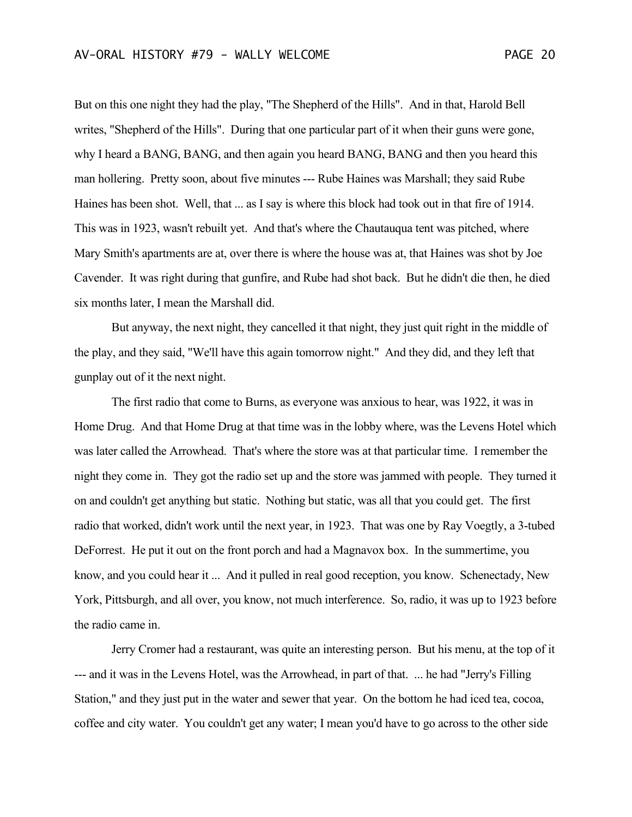But on this one night they had the play, "The Shepherd of the Hills". And in that, Harold Bell writes, "Shepherd of the Hills". During that one particular part of it when their guns were gone, why I heard a BANG, BANG, and then again you heard BANG, BANG and then you heard this man hollering. Pretty soon, about five minutes --- Rube Haines was Marshall; they said Rube Haines has been shot. Well, that ... as I say is where this block had took out in that fire of 1914. This was in 1923, wasn't rebuilt yet. And that's where the Chautauqua tent was pitched, where Mary Smith's apartments are at, over there is where the house was at, that Haines was shot by Joe Cavender. It was right during that gunfire, and Rube had shot back. But he didn't die then, he died six months later, I mean the Marshall did.

But anyway, the next night, they cancelled it that night, they just quit right in the middle of the play, and they said, "We'll have this again tomorrow night." And they did, and they left that gunplay out of it the next night.

The first radio that come to Burns, as everyone was anxious to hear, was 1922, it was in Home Drug. And that Home Drug at that time was in the lobby where, was the Levens Hotel which was later called the Arrowhead. That's where the store was at that particular time. I remember the night they come in. They got the radio set up and the store was jammed with people. They turned it on and couldn't get anything but static. Nothing but static, was all that you could get. The first radio that worked, didn't work until the next year, in 1923. That was one by Ray Voegtly, a 3-tubed DeForrest. He put it out on the front porch and had a Magnavox box. In the summertime, you know, and you could hear it ... And it pulled in real good reception, you know. Schenectady, New York, Pittsburgh, and all over, you know, not much interference. So, radio, it was up to 1923 before the radio came in.

Jerry Cromer had a restaurant, was quite an interesting person. But his menu, at the top of it --- and it was in the Levens Hotel, was the Arrowhead, in part of that. ... he had "Jerry's Filling Station," and they just put in the water and sewer that year. On the bottom he had iced tea, cocoa, coffee and city water. You couldn't get any water; I mean you'd have to go across to the other side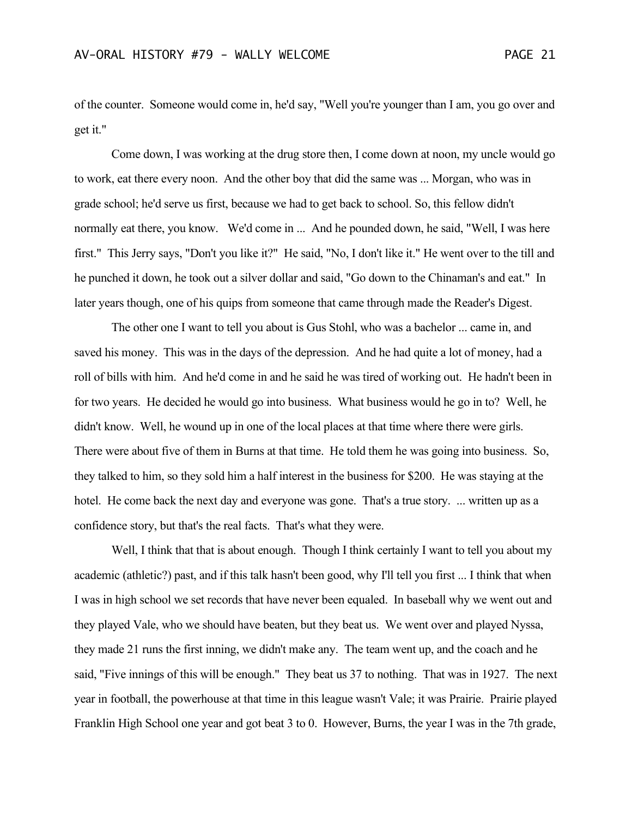of the counter. Someone would come in, he'd say, "Well you're younger than I am, you go over and get it."

Come down, I was working at the drug store then, I come down at noon, my uncle would go to work, eat there every noon. And the other boy that did the same was ... Morgan, who was in grade school; he'd serve us first, because we had to get back to school. So, this fellow didn't normally eat there, you know. We'd come in ... And he pounded down, he said, "Well, I was here first." This Jerry says, "Don't you like it?" He said, "No, I don't like it." He went over to the till and he punched it down, he took out a silver dollar and said, "Go down to the Chinaman's and eat." In later years though, one of his quips from someone that came through made the Reader's Digest.

The other one I want to tell you about is Gus Stohl, who was a bachelor ... came in, and saved his money. This was in the days of the depression. And he had quite a lot of money, had a roll of bills with him. And he'd come in and he said he was tired of working out. He hadn't been in for two years. He decided he would go into business. What business would he go in to? Well, he didn't know. Well, he wound up in one of the local places at that time where there were girls. There were about five of them in Burns at that time. He told them he was going into business. So, they talked to him, so they sold him a half interest in the business for \$200. He was staying at the hotel. He come back the next day and everyone was gone. That's a true story. ... written up as a confidence story, but that's the real facts. That's what they were.

Well, I think that that is about enough. Though I think certainly I want to tell you about my academic (athletic?) past, and if this talk hasn't been good, why I'll tell you first ... I think that when I was in high school we set records that have never been equaled. In baseball why we went out and they played Vale, who we should have beaten, but they beat us. We went over and played Nyssa, they made 21 runs the first inning, we didn't make any. The team went up, and the coach and he said, "Five innings of this will be enough." They beat us 37 to nothing. That was in 1927. The next year in football, the powerhouse at that time in this league wasn't Vale; it was Prairie. Prairie played Franklin High School one year and got beat 3 to 0. However, Burns, the year I was in the 7th grade,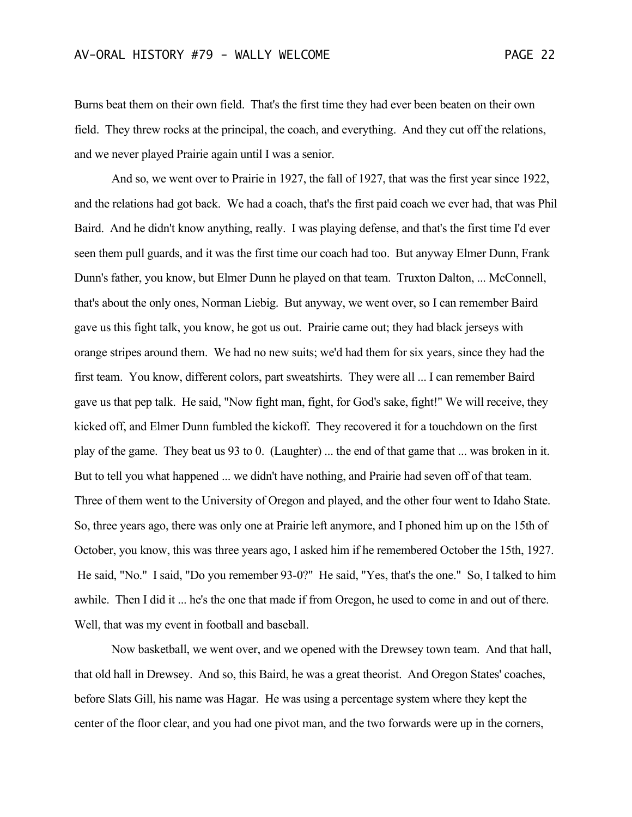Burns beat them on their own field. That's the first time they had ever been beaten on their own field. They threw rocks at the principal, the coach, and everything. And they cut off the relations, and we never played Prairie again until I was a senior.

And so, we went over to Prairie in 1927, the fall of 1927, that was the first year since 1922, and the relations had got back. We had a coach, that's the first paid coach we ever had, that was Phil Baird. And he didn't know anything, really. I was playing defense, and that's the first time I'd ever seen them pull guards, and it was the first time our coach had too. But anyway Elmer Dunn, Frank Dunn's father, you know, but Elmer Dunn he played on that team. Truxton Dalton, ... McConnell, that's about the only ones, Norman Liebig. But anyway, we went over, so I can remember Baird gave us this fight talk, you know, he got us out. Prairie came out; they had black jerseys with orange stripes around them. We had no new suits; we'd had them for six years, since they had the first team. You know, different colors, part sweatshirts. They were all ... I can remember Baird gave us that pep talk. He said, "Now fight man, fight, for God's sake, fight!" We will receive, they kicked off, and Elmer Dunn fumbled the kickoff. They recovered it for a touchdown on the first play of the game. They beat us 93 to 0. (Laughter) ... the end of that game that ... was broken in it. But to tell you what happened ... we didn't have nothing, and Prairie had seven off of that team. Three of them went to the University of Oregon and played, and the other four went to Idaho State. So, three years ago, there was only one at Prairie left anymore, and I phoned him up on the 15th of October, you know, this was three years ago, I asked him if he remembered October the 15th, 1927. He said, "No." I said, "Do you remember 93-0?" He said, "Yes, that's the one." So, I talked to him awhile. Then I did it ... he's the one that made if from Oregon, he used to come in and out of there. Well, that was my event in football and baseball.

Now basketball, we went over, and we opened with the Drewsey town team. And that hall, that old hall in Drewsey. And so, this Baird, he was a great theorist. And Oregon States' coaches, before Slats Gill, his name was Hagar. He was using a percentage system where they kept the center of the floor clear, and you had one pivot man, and the two forwards were up in the corners,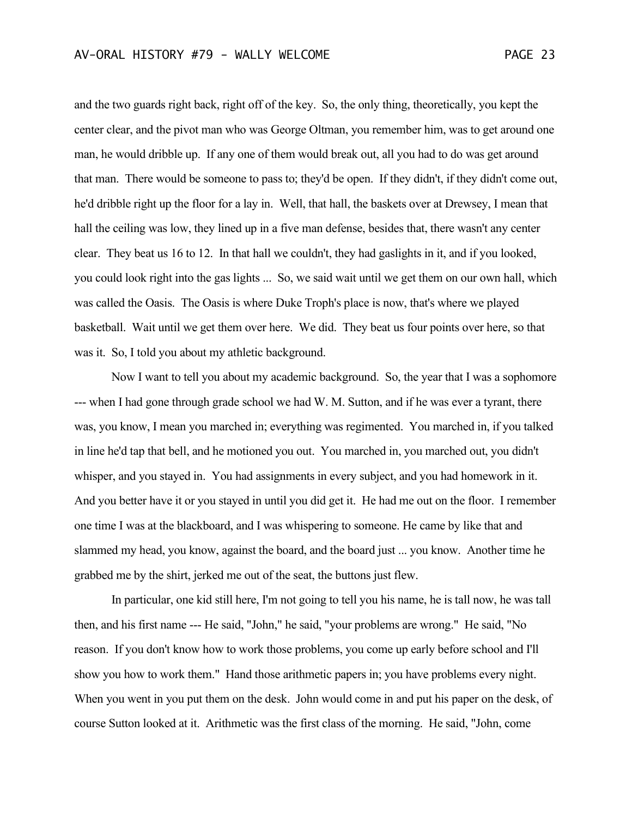and the two guards right back, right off of the key. So, the only thing, theoretically, you kept the center clear, and the pivot man who was George Oltman, you remember him, was to get around one man, he would dribble up. If any one of them would break out, all you had to do was get around that man. There would be someone to pass to; they'd be open. If they didn't, if they didn't come out, he'd dribble right up the floor for a lay in. Well, that hall, the baskets over at Drewsey, I mean that hall the ceiling was low, they lined up in a five man defense, besides that, there wasn't any center clear. They beat us 16 to 12. In that hall we couldn't, they had gaslights in it, and if you looked, you could look right into the gas lights ... So, we said wait until we get them on our own hall, which was called the Oasis. The Oasis is where Duke Troph's place is now, that's where we played basketball. Wait until we get them over here. We did. They beat us four points over here, so that was it. So, I told you about my athletic background.

Now I want to tell you about my academic background. So, the year that I was a sophomore --- when I had gone through grade school we had W. M. Sutton, and if he was ever a tyrant, there was, you know, I mean you marched in; everything was regimented. You marched in, if you talked in line he'd tap that bell, and he motioned you out. You marched in, you marched out, you didn't whisper, and you stayed in. You had assignments in every subject, and you had homework in it. And you better have it or you stayed in until you did get it. He had me out on the floor. I remember one time I was at the blackboard, and I was whispering to someone. He came by like that and slammed my head, you know, against the board, and the board just ... you know. Another time he grabbed me by the shirt, jerked me out of the seat, the buttons just flew.

In particular, one kid still here, I'm not going to tell you his name, he is tall now, he was tall then, and his first name --- He said, "John," he said, "your problems are wrong." He said, "No reason. If you don't know how to work those problems, you come up early before school and I'll show you how to work them." Hand those arithmetic papers in; you have problems every night. When you went in you put them on the desk. John would come in and put his paper on the desk, of course Sutton looked at it. Arithmetic was the first class of the morning. He said, "John, come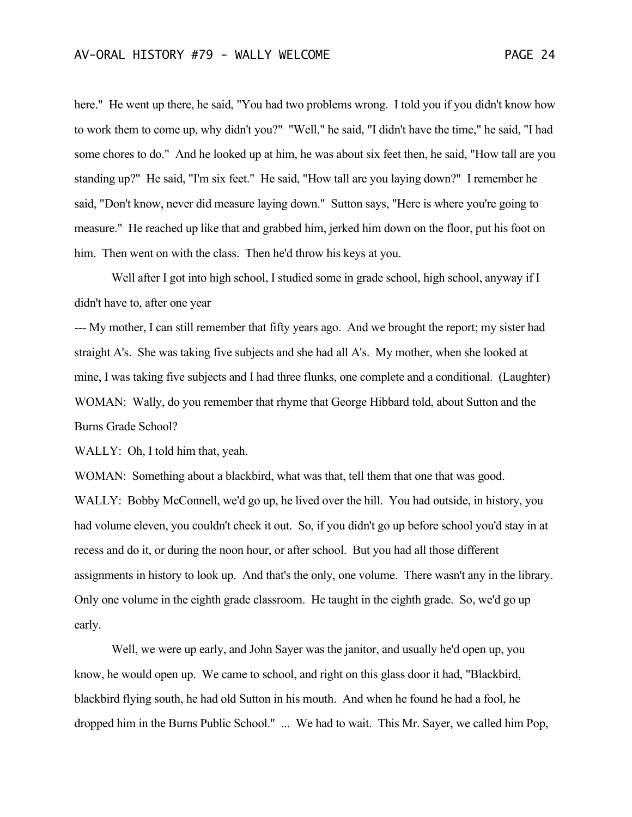here." He went up there, he said, "You had two problems wrong. I told you if you didn't know how to work them to come up, why didn't you?" "Well," he said, "I didn't have the time," he said, "I had some chores to do." And he looked up at him, he was about six feet then, he said, "How tall are you standing up?" He said, "I'm six feet." He said, "How tall are you laying down?" I remember he said, "Don't know, never did measure laying down." Sutton says, "Here is where you're going to measure." He reached up like that and grabbed him, jerked him down on the floor, put his foot on him. Then went on with the class. Then he'd throw his keys at you.

Well after I got into high school, I studied some in grade school, high school, anyway if I didn't have to, after one year

--- My mother, I can still remember that fifty years ago. And we brought the report; my sister had straight A's. She was taking five subjects and she had all A's. My mother, when she looked at mine, I was taking five subjects and I had three flunks, one complete and a conditional. (Laughter) WOMAN: Wally, do you remember that rhyme that George Hibbard told, about Sutton and the Burns Grade School?

WALLY: Oh, I told him that, yeah.

WOMAN: Something about a blackbird, what was that, tell them that one that was good. WALLY: Bobby McConnell, we'd go up, he lived over the hill. You had outside, in history, you had volume eleven, you couldn't check it out. So, if you didn't go up before school you'd stay in at recess and do it, or during the noon hour, or after school. But you had all those different assignments in history to look up. And that's the only, one volume. There wasn't any in the library. Only one volume in the eighth grade classroom. He taught in the eighth grade. So, we'd go up early.

Well, we were up early, and John Sayer was the janitor, and usually he'd open up, you know, he would open up. We came to school, and right on this glass door it had, "Blackbird, blackbird flying south, he had old Sutton in his mouth. And when he found he had a fool, he dropped him in the Burns Public School." ... We had to wait. This Mr. Sayer, we called him Pop,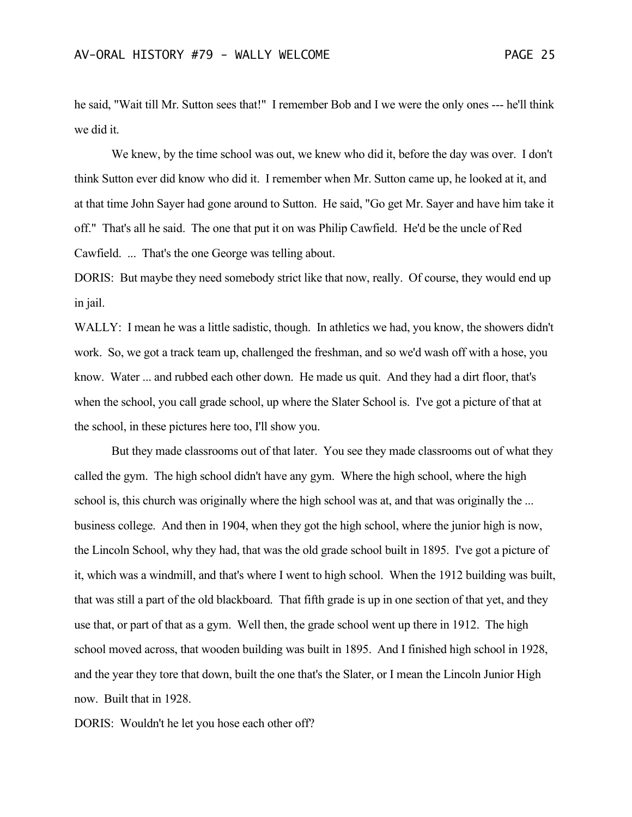he said, "Wait till Mr. Sutton sees that!" I remember Bob and I we were the only ones --- he'll think we did it.

We knew, by the time school was out, we knew who did it, before the day was over. I don't think Sutton ever did know who did it. I remember when Mr. Sutton came up, he looked at it, and at that time John Sayer had gone around to Sutton. He said, "Go get Mr. Sayer and have him take it off." That's all he said. The one that put it on was Philip Cawfield. He'd be the uncle of Red Cawfield. ... That's the one George was telling about.

DORIS: But maybe they need somebody strict like that now, really. Of course, they would end up in jail.

WALLY: I mean he was a little sadistic, though. In athletics we had, you know, the showers didn't work. So, we got a track team up, challenged the freshman, and so we'd wash off with a hose, you know. Water ... and rubbed each other down. He made us quit. And they had a dirt floor, that's when the school, you call grade school, up where the Slater School is. I've got a picture of that at the school, in these pictures here too, I'll show you.

But they made classrooms out of that later. You see they made classrooms out of what they called the gym. The high school didn't have any gym. Where the high school, where the high school is, this church was originally where the high school was at, and that was originally the ... business college. And then in 1904, when they got the high school, where the junior high is now, the Lincoln School, why they had, that was the old grade school built in 1895. I've got a picture of it, which was a windmill, and that's where I went to high school. When the 1912 building was built, that was still a part of the old blackboard. That fifth grade is up in one section of that yet, and they use that, or part of that as a gym. Well then, the grade school went up there in 1912. The high school moved across, that wooden building was built in 1895. And I finished high school in 1928, and the year they tore that down, built the one that's the Slater, or I mean the Lincoln Junior High now. Built that in 1928.

DORIS: Wouldn't he let you hose each other off?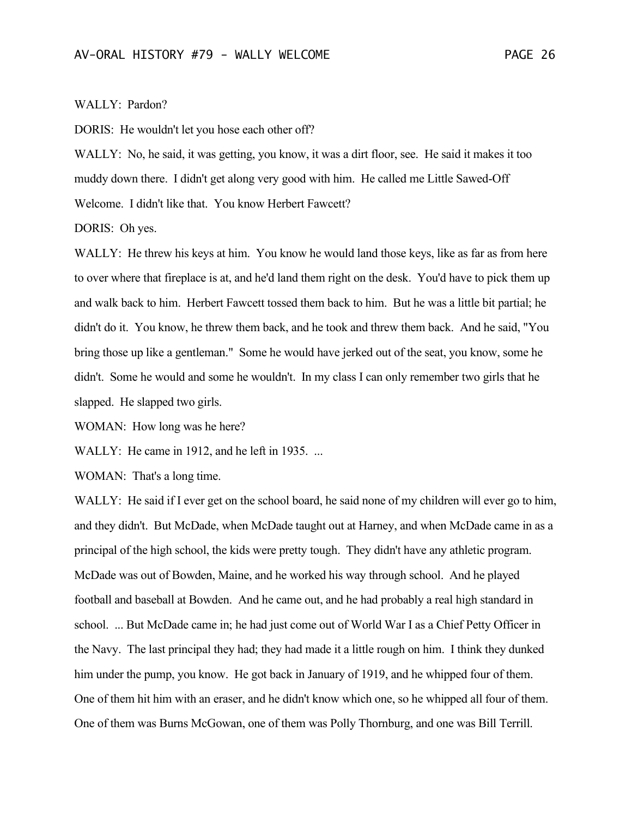## WALLY: Pardon?

DORIS: He wouldn't let you hose each other off?

WALLY: No, he said, it was getting, you know, it was a dirt floor, see. He said it makes it too muddy down there. I didn't get along very good with him. He called me Little Sawed-Off Welcome. I didn't like that. You know Herbert Fawcett?

DORIS: Oh yes.

WALLY: He threw his keys at him. You know he would land those keys, like as far as from here to over where that fireplace is at, and he'd land them right on the desk. You'd have to pick them up and walk back to him. Herbert Fawcett tossed them back to him. But he was a little bit partial; he didn't do it. You know, he threw them back, and he took and threw them back. And he said, "You bring those up like a gentleman." Some he would have jerked out of the seat, you know, some he didn't. Some he would and some he wouldn't. In my class I can only remember two girls that he slapped. He slapped two girls.

WOMAN: How long was he here?

WALLY: He came in 1912, and he left in 1935. ...

WOMAN: That's a long time.

WALLY: He said if I ever get on the school board, he said none of my children will ever go to him, and they didn't. But McDade, when McDade taught out at Harney, and when McDade came in as a principal of the high school, the kids were pretty tough. They didn't have any athletic program. McDade was out of Bowden, Maine, and he worked his way through school. And he played football and baseball at Bowden. And he came out, and he had probably a real high standard in school. ... But McDade came in; he had just come out of World War I as a Chief Petty Officer in the Navy. The last principal they had; they had made it a little rough on him. I think they dunked him under the pump, you know. He got back in January of 1919, and he whipped four of them. One of them hit him with an eraser, and he didn't know which one, so he whipped all four of them. One of them was Burns McGowan, one of them was Polly Thornburg, and one was Bill Terrill.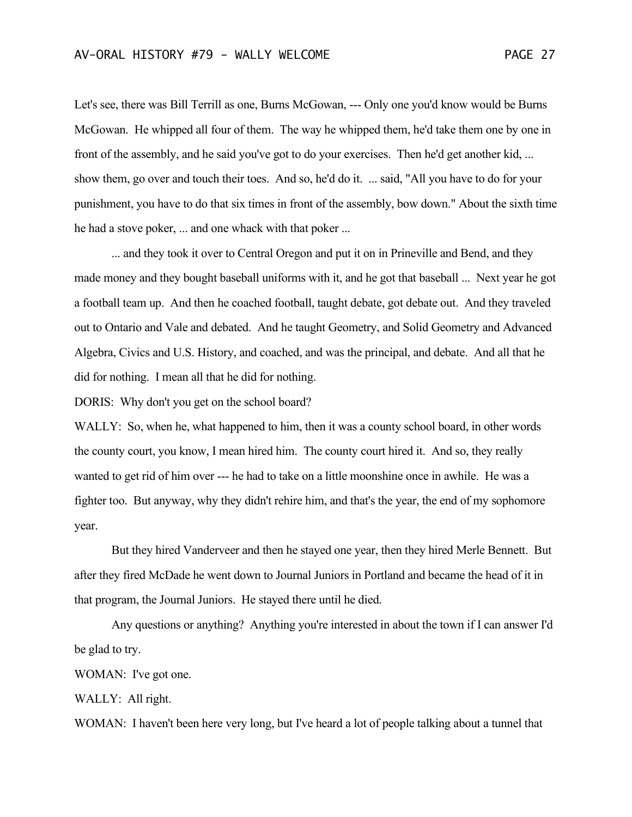Let's see, there was Bill Terrill as one, Burns McGowan, --- Only one you'd know would be Burns McGowan. He whipped all four of them. The way he whipped them, he'd take them one by one in front of the assembly, and he said you've got to do your exercises. Then he'd get another kid, ... show them, go over and touch their toes. And so, he'd do it. ... said, "All you have to do for your punishment, you have to do that six times in front of the assembly, bow down." About the sixth time he had a stove poker, ... and one whack with that poker ...

... and they took it over to Central Oregon and put it on in Prineville and Bend, and they made money and they bought baseball uniforms with it, and he got that baseball ... Next year he got a football team up. And then he coached football, taught debate, got debate out. And they traveled out to Ontario and Vale and debated. And he taught Geometry, and Solid Geometry and Advanced Algebra, Civics and U.S. History, and coached, and was the principal, and debate. And all that he did for nothing. I mean all that he did for nothing.

DORIS: Why don't you get on the school board?

WALLY: So, when he, what happened to him, then it was a county school board, in other words the county court, you know, I mean hired him. The county court hired it. And so, they really wanted to get rid of him over --- he had to take on a little moonshine once in awhile. He was a fighter too. But anyway, why they didn't rehire him, and that's the year, the end of my sophomore year.

But they hired Vanderveer and then he stayed one year, then they hired Merle Bennett. But after they fired McDade he went down to Journal Juniors in Portland and became the head of it in that program, the Journal Juniors. He stayed there until he died.

Any questions or anything? Anything you're interested in about the town if I can answer I'd be glad to try.

WOMAN: I've got one.

WALLY: All right.

WOMAN: I haven't been here very long, but I've heard a lot of people talking about a tunnel that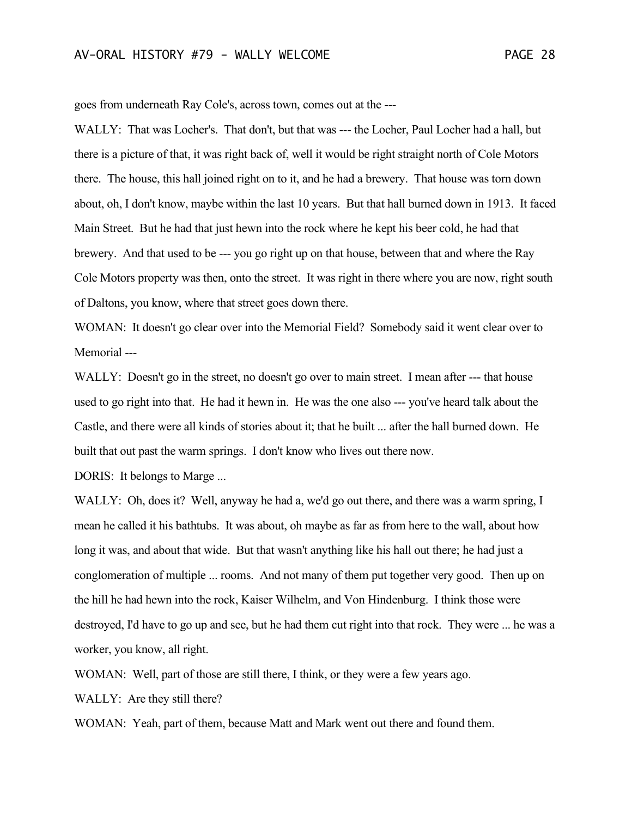goes from underneath Ray Cole's, across town, comes out at the ---

WALLY: That was Locher's. That don't, but that was --- the Locher, Paul Locher had a hall, but there is a picture of that, it was right back of, well it would be right straight north of Cole Motors there. The house, this hall joined right on to it, and he had a brewery. That house was torn down about, oh, I don't know, maybe within the last 10 years. But that hall burned down in 1913. It faced Main Street. But he had that just hewn into the rock where he kept his beer cold, he had that brewery. And that used to be --- you go right up on that house, between that and where the Ray Cole Motors property was then, onto the street. It was right in there where you are now, right south of Daltons, you know, where that street goes down there.

WOMAN: It doesn't go clear over into the Memorial Field? Somebody said it went clear over to Memorial ---

WALLY: Doesn't go in the street, no doesn't go over to main street. I mean after --- that house used to go right into that. He had it hewn in. He was the one also --- you've heard talk about the Castle, and there were all kinds of stories about it; that he built ... after the hall burned down. He built that out past the warm springs. I don't know who lives out there now.

DORIS: It belongs to Marge ...

WALLY: Oh, does it? Well, anyway he had a, we'd go out there, and there was a warm spring, I mean he called it his bathtubs. It was about, oh maybe as far as from here to the wall, about how long it was, and about that wide. But that wasn't anything like his hall out there; he had just a conglomeration of multiple ... rooms. And not many of them put together very good. Then up on the hill he had hewn into the rock, Kaiser Wilhelm, and Von Hindenburg. I think those were destroyed, I'd have to go up and see, but he had them cut right into that rock. They were ... he was a worker, you know, all right.

WOMAN: Well, part of those are still there, I think, or they were a few years ago.

WALLY: Are they still there?

WOMAN: Yeah, part of them, because Matt and Mark went out there and found them.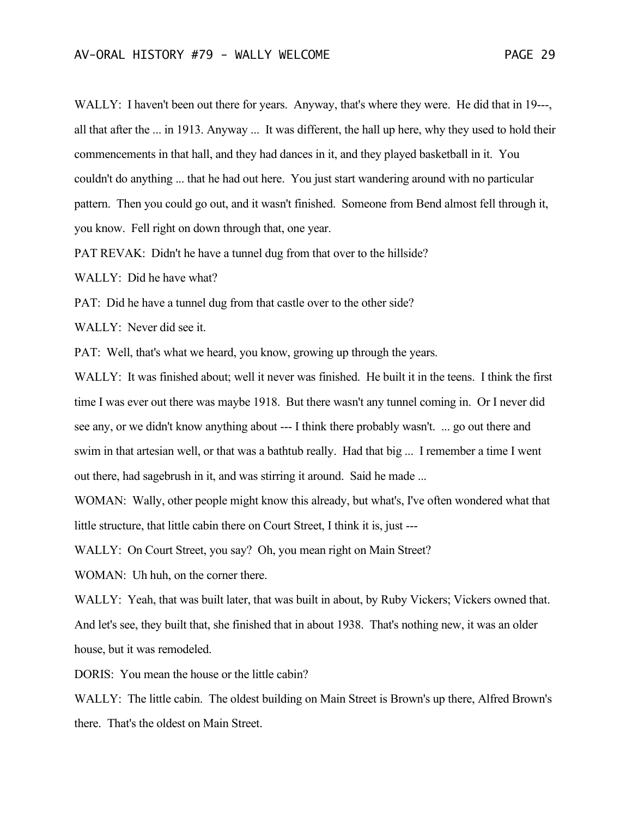WALLY: I haven't been out there for years. Anyway, that's where they were. He did that in 19---, all that after the ... in 1913. Anyway ... It was different, the hall up here, why they used to hold their commencements in that hall, and they had dances in it, and they played basketball in it. You couldn't do anything ... that he had out here. You just start wandering around with no particular pattern. Then you could go out, and it wasn't finished. Someone from Bend almost fell through it, you know. Fell right on down through that, one year.

PAT REVAK: Didn't he have a tunnel dug from that over to the hillside?

WALLY: Did he have what?

PAT: Did he have a tunnel dug from that castle over to the other side?

WALLY: Never did see it.

PAT: Well, that's what we heard, you know, growing up through the years.

WALLY: It was finished about; well it never was finished. He built it in the teens. I think the first time I was ever out there was maybe 1918. But there wasn't any tunnel coming in. Or I never did see any, or we didn't know anything about --- I think there probably wasn't. ... go out there and swim in that artesian well, or that was a bathtub really. Had that big ... I remember a time I went out there, had sagebrush in it, and was stirring it around. Said he made ...

WOMAN: Wally, other people might know this already, but what's, I've often wondered what that little structure, that little cabin there on Court Street, I think it is, just ---

WALLY: On Court Street, you say? Oh, you mean right on Main Street?

WOMAN: Uh huh, on the corner there.

WALLY: Yeah, that was built later, that was built in about, by Ruby Vickers; Vickers owned that. And let's see, they built that, she finished that in about 1938. That's nothing new, it was an older house, but it was remodeled.

DORIS: You mean the house or the little cabin?

WALLY: The little cabin. The oldest building on Main Street is Brown's up there, Alfred Brown's there. That's the oldest on Main Street.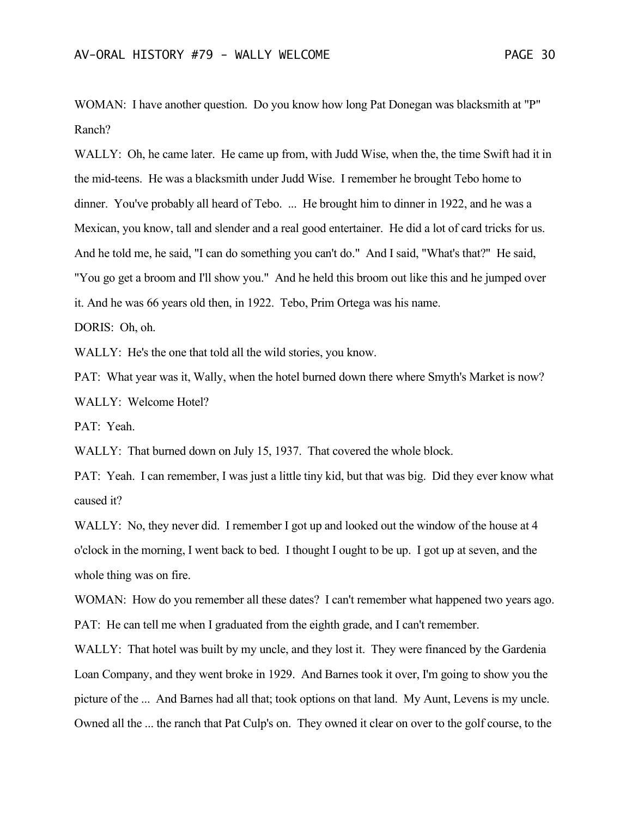WOMAN: I have another question. Do you know how long Pat Donegan was blacksmith at "P" Ranch?

WALLY: Oh, he came later. He came up from, with Judd Wise, when the, the time Swift had it in the mid-teens. He was a blacksmith under Judd Wise. I remember he brought Tebo home to dinner. You've probably all heard of Tebo. ... He brought him to dinner in 1922, and he was a Mexican, you know, tall and slender and a real good entertainer. He did a lot of card tricks for us. And he told me, he said, "I can do something you can't do." And I said, "What's that?" He said, "You go get a broom and I'll show you." And he held this broom out like this and he jumped over it. And he was 66 years old then, in 1922. Tebo, Prim Ortega was his name.

DORIS: Oh, oh.

WALLY: He's the one that told all the wild stories, you know.

PAT: What year was it, Wally, when the hotel burned down there where Smyth's Market is now? WALLY: Welcome Hotel?

PAT: Yeah.

WALLY: That burned down on July 15, 1937. That covered the whole block.

PAT: Yeah. I can remember, I was just a little tiny kid, but that was big. Did they ever know what caused it?

WALLY: No, they never did. I remember I got up and looked out the window of the house at 4 o'clock in the morning, I went back to bed. I thought I ought to be up. I got up at seven, and the whole thing was on fire.

WOMAN: How do you remember all these dates? I can't remember what happened two years ago. PAT: He can tell me when I graduated from the eighth grade, and I can't remember.

WALLY: That hotel was built by my uncle, and they lost it. They were financed by the Gardenia Loan Company, and they went broke in 1929. And Barnes took it over, I'm going to show you the picture of the ... And Barnes had all that; took options on that land. My Aunt, Levens is my uncle. Owned all the ... the ranch that Pat Culp's on. They owned it clear on over to the golf course, to the